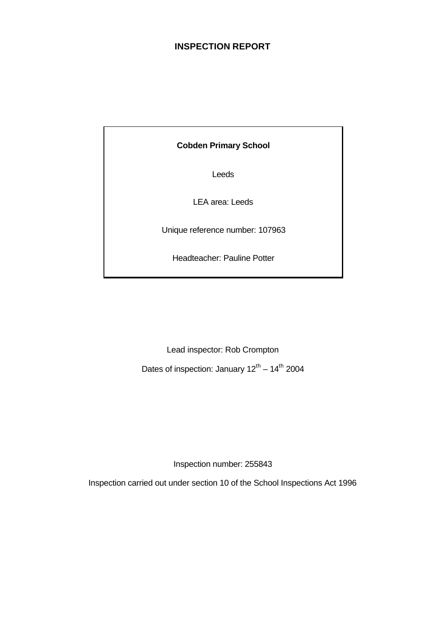## **INSPECTION REPORT**

## **Cobden Primary School**

Leeds

LEA area: Leeds

Unique reference number: 107963

Headteacher: Pauline Potter

Lead inspector: Rob Crompton

Dates of inspection: January  $12^{th} - 14^{th}$  2004

Inspection number: 255843

Inspection carried out under section 10 of the School Inspections Act 1996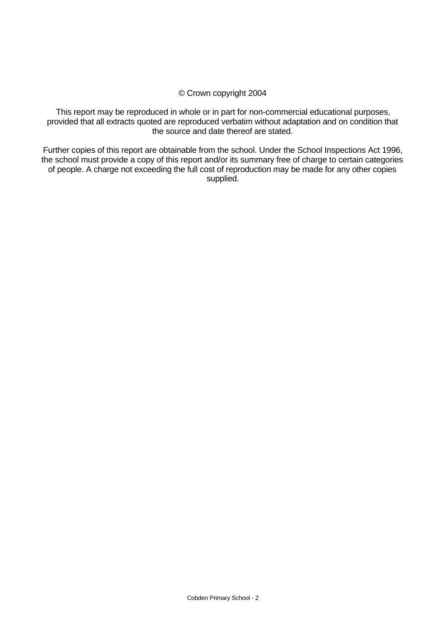## © Crown copyright 2004

This report may be reproduced in whole or in part for non-commercial educational purposes, provided that all extracts quoted are reproduced verbatim without adaptation and on condition that the source and date thereof are stated.

Further copies of this report are obtainable from the school. Under the School Inspections Act 1996, the school must provide a copy of this report and/or its summary free of charge to certain categories of people. A charge not exceeding the full cost of reproduction may be made for any other copies supplied.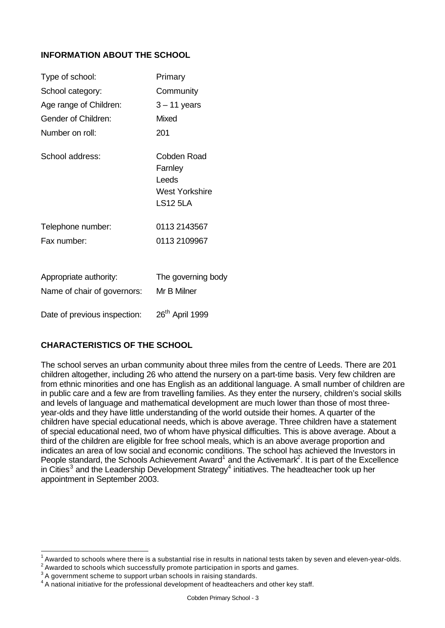## **INFORMATION ABOUT THE SCHOOL**

| Type of school:                                       | Primary                                                              |
|-------------------------------------------------------|----------------------------------------------------------------------|
| School category:                                      | Community                                                            |
| Age range of Children:                                | $3 - 11$ years                                                       |
| Gender of Children:                                   | Mixed                                                                |
| Number on roll:                                       | 201                                                                  |
| School address:                                       | Cobden Road<br>Farnley<br>Leeds<br>West Yorkshire<br><b>LS12 5LA</b> |
| Telephone number:                                     | 0113 2143567                                                         |
| Fax number:                                           | 0113 2109967                                                         |
| Appropriate authority:<br>Name of chair of governors: | The governing body<br>Mr B Milner                                    |
| Date of previous inspection:                          | 26 <sup>th</sup> April 1999                                          |

## **CHARACTERISTICS OF THE SCHOOL**

The school serves an urban community about three miles from the centre of Leeds. There are 201 children altogether, including 26 who attend the nursery on a part-time basis. Very few children are from ethnic minorities and one has English as an additional language. A small number of children are in public care and a few are from travelling families. As they enter the nursery, children's social skills and levels of language and mathematical development are much lower than those of most threeyear-olds and they have little understanding of the world outside their homes. A quarter of the children have special educational needs, which is above average. Three children have a statement of special educational need, two of whom have physical difficulties. This is above average. About a third of the children are eligible for free school meals, which is an above average proportion and indicates an area of low social and economic conditions. The school has achieved the Investors in People standard, the Schools Achievement Award<sup>1</sup> and the Activemark<sup>2</sup>. It is part of the Excellence in Cities<sup>3</sup> and the Leadership Development Strategy<sup>4</sup> initiatives. The headteacher took up her appointment in September 2003.

l

<sup>1</sup> Awarded to schools where there is a substantial rise in results in national tests taken by seven and eleven-year-olds.

 $^{\rm 2}$  Awarded to schools which successfully promote participation in sports and games.

 $3$  A government scheme to support urban schools in raising standards.

 $4\,$ A national initiative for the professional development of headteachers and other key staff.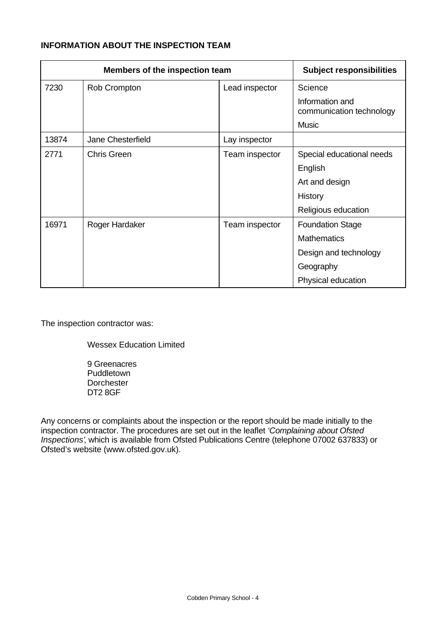## **INFORMATION ABOUT THE INSPECTION TEAM**

|       | Members of the inspection team | <b>Subject responsibilities</b> |                                             |
|-------|--------------------------------|---------------------------------|---------------------------------------------|
| 7230  | Rob Crompton                   | Lead inspector                  | Science                                     |
|       |                                |                                 | Information and<br>communication technology |
|       |                                |                                 | <b>Music</b>                                |
| 13874 | Jane Chesterfield              | Lay inspector                   |                                             |
| 2771  | <b>Chris Green</b>             | Team inspector                  | Special educational needs                   |
|       |                                |                                 | English                                     |
|       |                                |                                 | Art and design                              |
|       |                                |                                 | History                                     |
|       |                                |                                 | Religious education                         |
| 16971 | Roger Hardaker                 | Team inspector                  | <b>Foundation Stage</b>                     |
|       |                                |                                 | <b>Mathematics</b>                          |
|       |                                |                                 | Design and technology                       |
|       |                                |                                 | Geography                                   |
|       |                                |                                 | Physical education                          |

The inspection contractor was:

Wessex Education Limited

9 Greenacres Puddletown **Dorchester** DT2 8GF

Any concerns or complaints about the inspection or the report should be made initially to the inspection contractor. The procedures are set out in the leaflet *'Complaining about Ofsted Inspections'*, which is available from Ofsted Publications Centre (telephone 07002 637833) or Ofsted's website (www.ofsted.gov.uk).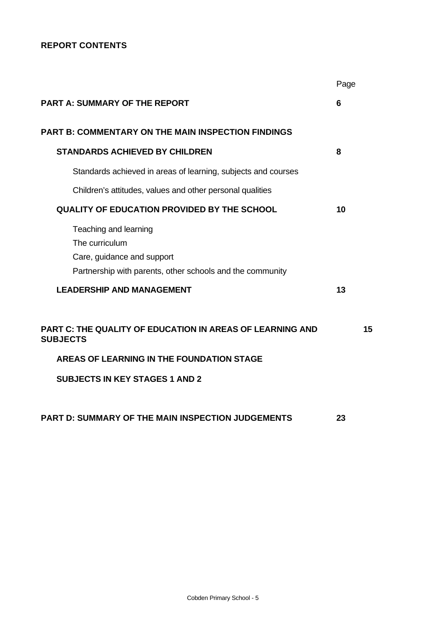## **REPORT CONTENTS**

|                                                                                                                                                                    | Page           |    |
|--------------------------------------------------------------------------------------------------------------------------------------------------------------------|----------------|----|
| <b>PART A: SUMMARY OF THE REPORT</b>                                                                                                                               | $6\phantom{1}$ |    |
| <b>PART B: COMMENTARY ON THE MAIN INSPECTION FINDINGS</b>                                                                                                          |                |    |
| <b>STANDARDS ACHIEVED BY CHILDREN</b>                                                                                                                              | 8              |    |
| Standards achieved in areas of learning, subjects and courses                                                                                                      |                |    |
| Children's attitudes, values and other personal qualities                                                                                                          |                |    |
| <b>QUALITY OF EDUCATION PROVIDED BY THE SCHOOL</b>                                                                                                                 | 10             |    |
| Teaching and learning<br>The curriculum<br>Care, guidance and support<br>Partnership with parents, other schools and the community                                 |                |    |
| <b>LEADERSHIP AND MANAGEMENT</b>                                                                                                                                   | 13             |    |
| PART C: THE QUALITY OF EDUCATION IN AREAS OF LEARNING AND<br><b>SUBJECTS</b><br>AREAS OF LEARNING IN THE FOUNDATION STAGE<br><b>SUBJECTS IN KEY STAGES 1 AND 2</b> |                | 15 |
| PART D: SUMMARY OF THE MAIN INSPECTION JUDGEMENTS                                                                                                                  | 23             |    |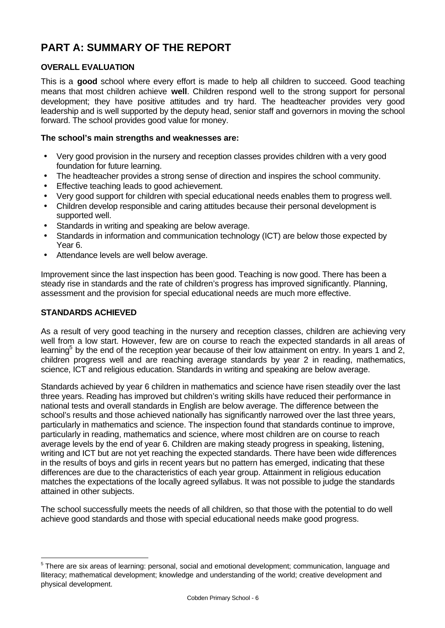# **PART A: SUMMARY OF THE REPORT**

## **OVERALL EVALUATION**

This is a **good** school where every effort is made to help all children to succeed. Good teaching means that most children achieve **well**. Children respond well to the strong support for personal development; they have positive attitudes and try hard. The headteacher provides very good leadership and is well supported by the deputy head, senior staff and governors in moving the school forward. The school provides good value for money.

## **The school's main strengths and weaknesses are:**

- Very good provision in the nursery and reception classes provides children with a very good foundation for future learning.
- The headteacher provides a strong sense of direction and inspires the school community.
- Effective teaching leads to good achievement.
- Very good support for children with special educational needs enables them to progress well.
- Children develop responsible and caring attitudes because their personal development is supported well.
- Standards in writing and speaking are below average.
- Standards in information and communication technology (ICT) are below those expected by Year 6.
- Attendance levels are well below average.

Improvement since the last inspection has been good. Teaching is now good. There has been a steady rise in standards and the rate of children's progress has improved significantly. Planning, assessment and the provision for special educational needs are much more effective.

## **STANDARDS ACHIEVED**

l

As a result of very good teaching in the nursery and reception classes, children are achieving very well from a low start. However, few are on course to reach the expected standards in all areas of learning<sup>5</sup> by the end of the reception year because of their low attainment on entry. In years 1 and 2, children progress well and are reaching average standards by year 2 in reading, mathematics, science, ICT and religious education. Standards in writing and speaking are below average.

Standards achieved by year 6 children in mathematics and science have risen steadily over the last three years. Reading has improved but children's writing skills have reduced their performance in national tests and overall standards in English are below average. The difference between the school's results and those achieved nationally has significantly narrowed over the last three years, particularly in mathematics and science. The inspection found that standards continue to improve, particularly in reading, mathematics and science, where most children are on course to reach average levels by the end of year 6. Children are making steady progress in speaking, listening, writing and ICT but are not yet reaching the expected standards. There have been wide differences in the results of boys and girls in recent years but no pattern has emerged, indicating that these differences are due to the characteristics of each year group. Attainment in religious education matches the expectations of the locally agreed syllabus. It was not possible to judge the standards attained in other subjects.

The school successfully meets the needs of all children, so that those with the potential to do well achieve good standards and those with special educational needs make good progress.

<sup>&</sup>lt;sup>5</sup> There are six areas of learning: personal, social and emotional development; communication, language and lliteracy; mathematical development; knowledge and understanding of the world; creative development and physical development.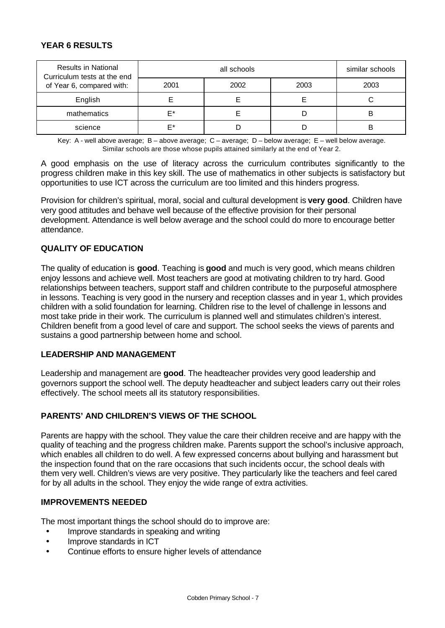## **YEAR 6 RESULTS**

| <b>Results in National</b><br>Curriculum tests at the end |      | similar schools |      |      |
|-----------------------------------------------------------|------|-----------------|------|------|
| of Year 6, compared with:                                 | 2001 | 2002            | 2003 | 2003 |
| English                                                   |      |                 |      |      |
| mathematics                                               | F*   |                 |      | B    |
| science                                                   | ⊏∗   |                 |      |      |

Key: A - well above average; B – above average; C – average; D – below average; E – well below average. Similar schools are those whose pupils attained similarly at the end of Year 2.

A good emphasis on the use of literacy across the curriculum contributes significantly to the progress children make in this key skill. The use of mathematics in other subjects is satisfactory but opportunities to use ICT across the curriculum are too limited and this hinders progress.

Provision for children's spiritual, moral, social and cultural development is **very good**. Children have very good attitudes and behave well because of the effective provision for their personal development. Attendance is well below average and the school could do more to encourage better attendance.

## **QUALITY OF EDUCATION**

The quality of education is **good**. Teaching is **good** and much is very good, which means children enjoy lessons and achieve well. Most teachers are good at motivating children to try hard. Good relationships between teachers, support staff and children contribute to the purposeful atmosphere in lessons. Teaching is very good in the nursery and reception classes and in year 1, which provides children with a solid foundation for learning. Children rise to the level of challenge in lessons and most take pride in their work. The curriculum is planned well and stimulates children's interest. Children benefit from a good level of care and support. The school seeks the views of parents and sustains a good partnership between home and school.

#### **LEADERSHIP AND MANAGEMENT**

Leadership and management are **good**. The headteacher provides very good leadership and governors support the school well. The deputy headteacher and subject leaders carry out their roles effectively. The school meets all its statutory responsibilities.

### **PARENTS' AND CHILDREN'S VIEWS OF THE SCHOOL**

Parents are happy with the school. They value the care their children receive and are happy with the quality of teaching and the progress children make. Parents support the school's inclusive approach, which enables all children to do well. A few expressed concerns about bullying and harassment but the inspection found that on the rare occasions that such incidents occur, the school deals with them very well. Children's views are very positive. They particularly like the teachers and feel cared for by all adults in the school. They enjoy the wide range of extra activities.

## **IMPROVEMENTS NEEDED**

The most important things the school should do to improve are:

- Improve standards in speaking and writing
- Improve standards in ICT
- Continue efforts to ensure higher levels of attendance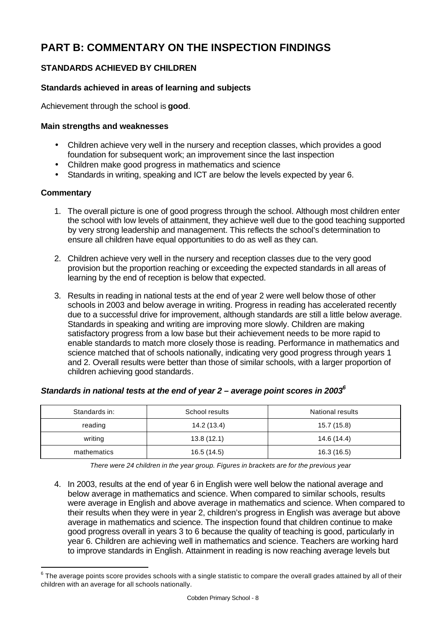# **PART B: COMMENTARY ON THE INSPECTION FINDINGS**

## **STANDARDS ACHIEVED BY CHILDREN**

## **Standards achieved in areas of learning and subjects**

Achievement through the school is **good**.

## **Main strengths and weaknesses**

- Children achieve very well in the nursery and reception classes, which provides a good foundation for subsequent work; an improvement since the last inspection
- Children make good progress in mathematics and science
- Standards in writing, speaking and ICT are below the levels expected by year 6.

## **Commentary**

l

- 1. The overall picture is one of good progress through the school. Although most children enter the school with low levels of attainment, they achieve well due to the good teaching supported by very strong leadership and management. This reflects the school's determination to ensure all children have equal opportunities to do as well as they can.
- 2. Children achieve very well in the nursery and reception classes due to the very good provision but the proportion reaching or exceeding the expected standards in all areas of learning by the end of reception is below that expected.
- 3. Results in reading in national tests at the end of year 2 were well below those of other schools in 2003 and below average in writing. Progress in reading has accelerated recently due to a successful drive for improvement, although standards are still a little below average. Standards in speaking and writing are improving more slowly. Children are making satisfactory progress from a low base but their achievement needs to be more rapid to enable standards to match more closely those is reading. Performance in mathematics and science matched that of schools nationally, indicating very good progress through years 1 and 2. Overall results were better than those of similar schools, with a larger proportion of children achieving good standards.

## *Standards in national tests at the end of year 2 – average point scores in 2003<sup>6</sup>*

| Standards in: | School results | <b>National results</b> |
|---------------|----------------|-------------------------|
| reading       | 14.2 (13.4)    | 15.7 (15.8)             |
| writing       | 13.8(12.1)     | 14.6 (14.4)             |
| mathematics   | 16.5(14.5)     | 16.3 (16.5)             |

*There were 24 children in the year group. Figures in brackets are for the previous year*

4. In 2003, results at the end of year 6 in English were well below the national average and below average in mathematics and science. When compared to similar schools, results were average in English and above average in mathematics and science. When compared to their results when they were in year 2, children's progress in English was average but above average in mathematics and science. The inspection found that children continue to make good progress overall in years 3 to 6 because the quality of teaching is good, particularly in year 6. Children are achieving well in mathematics and science. Teachers are working hard to improve standards in English. Attainment in reading is now reaching average levels but

 $^6$  The average points score provides schools with a single statistic to compare the overall grades attained by all of their children with an average for all schools nationally.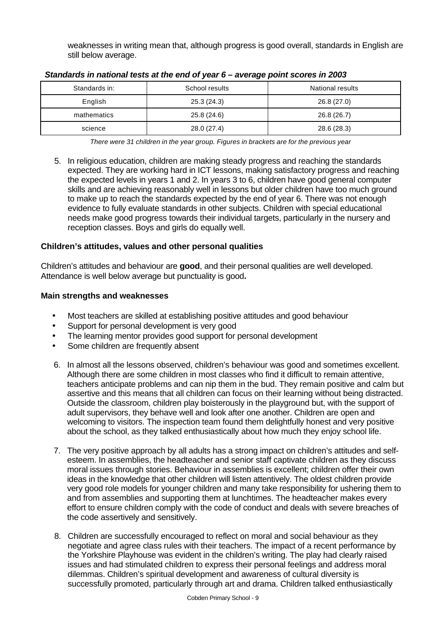weaknesses in writing mean that, although progress is good overall, standards in English are still below average.

| Standards in: | School results | <b>National results</b> |
|---------------|----------------|-------------------------|
| English       | 25.3(24.3)     | 26.8 (27.0)             |
| mathematics   | 25.8 (24.6)    | 26.8(26.7)              |
| science       | 28.0 (27.4)    | 28.6 (28.3)             |

|  | Standards in national tests at the end of year 6 - average point scores in 2003 |
|--|---------------------------------------------------------------------------------|
|  |                                                                                 |

5. In religious education, children are making steady progress and reaching the standards expected. They are working hard in ICT lessons, making satisfactory progress and reaching the expected levels in years 1 and 2. In years 3 to 6, children have good general computer skills and are achieving reasonably well in lessons but older children have too much ground to make up to reach the standards expected by the end of year 6. There was not enough evidence to fully evaluate standards in other subjects. Children with special educational needs make good progress towards their individual targets, particularly in the nursery and reception classes. Boys and girls do equally well.

## **Children's attitudes, values and other personal qualities**

Children's attitudes and behaviour are **good**, and their personal qualities are well developed. Attendance is well below average but punctuality is good**.**

- Most teachers are skilled at establishing positive attitudes and good behaviour
- Support for personal development is very good
- The learning mentor provides good support for personal development
- Some children are frequently absent
- 6. In almost all the lessons observed, children's behaviour was good and sometimes excellent. Although there are some children in most classes who find it difficult to remain attentive, teachers anticipate problems and can nip them in the bud. They remain positive and calm but assertive and this means that all children can focus on their learning without being distracted. Outside the classroom, children play boisterously in the playground but, with the support of adult supervisors, they behave well and look after one another. Children are open and welcoming to visitors. The inspection team found them delightfully honest and very positive about the school, as they talked enthusiastically about how much they enjoy school life.
- 7. The very positive approach by all adults has a strong impact on children's attitudes and selfesteem. In assemblies, the headteacher and senior staff captivate children as they discuss moral issues through stories. Behaviour in assemblies is excellent; children offer their own ideas in the knowledge that other children will listen attentively. The oldest children provide very good role models for younger children and many take responsibility for ushering them to and from assemblies and supporting them at lunchtimes. The headteacher makes every effort to ensure children comply with the code of conduct and deals with severe breaches of the code assertively and sensitively.
- 8. Children are successfully encouraged to reflect on moral and social behaviour as they negotiate and agree class rules with their teachers. The impact of a recent performance by the Yorkshire Playhouse was evident in the children's writing. The play had clearly raised issues and had stimulated children to express their personal feelings and address moral dilemmas. Children's spiritual development and awareness of cultural diversity is successfully promoted, particularly through art and drama. Children talked enthusiastically

*There were 31 children in the year group. Figures in brackets are for the previous year*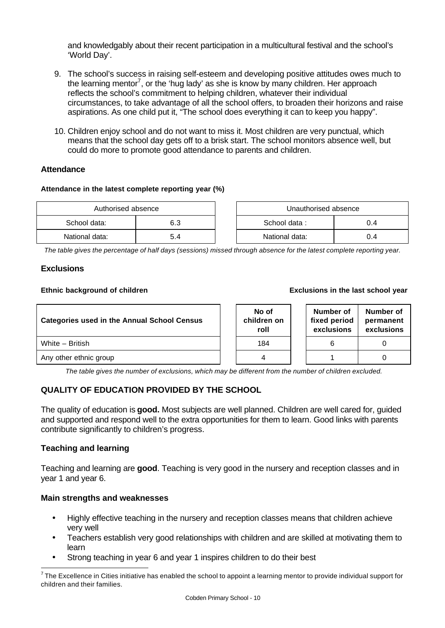and knowledgably about their recent participation in a multicultural festival and the school's 'World Day'.

- 9. The school's success in raising self-esteem and developing positive attitudes owes much to the learning mentor<sup>7</sup>, or the 'hug lady' as she is know by many children. Her approach reflects the school's commitment to helping children, whatever their individual circumstances, to take advantage of all the school offers, to broaden their horizons and raise aspirations. As one child put it, "The school does everything it can to keep you happy".
- 10. Children enjoy school and do not want to miss it. Most children are very punctual, which means that the school day gets off to a brisk start. The school monitors absence well, but could do more to promote good attendance to parents and children.

## **Attendance**

#### **Attendance in the latest complete reporting year (%)**

| Authorised absence |     | Unauthorised absence |     |
|--------------------|-----|----------------------|-----|
| School data:       | 6.3 | School data:         | 0.4 |
| National data:     | 5.4 | National data:       | 0.4 |

| Unauthorised absence |     |  |  |  |
|----------------------|-----|--|--|--|
| School data:         | በ 4 |  |  |  |
| National data:       | በ 4 |  |  |  |

*The table gives the percentage of half days (sessions) missed through absence for the latest complete reporting year.*

## **Exclusions**

#### **Ethnic background of children Exclusions in the last school year**

| <b>Categories used in the Annual School Census</b> |  | No of<br>children on<br>roll | Number of<br>fixed period<br>exclusions | Number of<br>permanent<br>exclusions |
|----------------------------------------------------|--|------------------------------|-----------------------------------------|--------------------------------------|
| White - British                                    |  | 184                          |                                         |                                      |
| Any other ethnic group                             |  | 4                            |                                         |                                      |

*The table gives the number of exclusions, which may be different from the number of children excluded.*

## **QUALITY OF EDUCATION PROVIDED BY THE SCHOOL**

The quality of education is **good.** Most subjects are well planned. Children are well cared for, guided and supported and respond well to the extra opportunities for them to learn. Good links with parents contribute significantly to children's progress.

## **Teaching and learning**

Teaching and learning are **good**. Teaching is very good in the nursery and reception classes and in year 1 and year 6.

- Highly effective teaching in the nursery and reception classes means that children achieve very well
- Teachers establish very good relationships with children and are skilled at motivating them to learn
- Strong teaching in year 6 and year 1 inspires children to do their best

 7 The Excellence in Cities initiative has enabled the school to appoint a learning mentor to provide individual support for children and their families.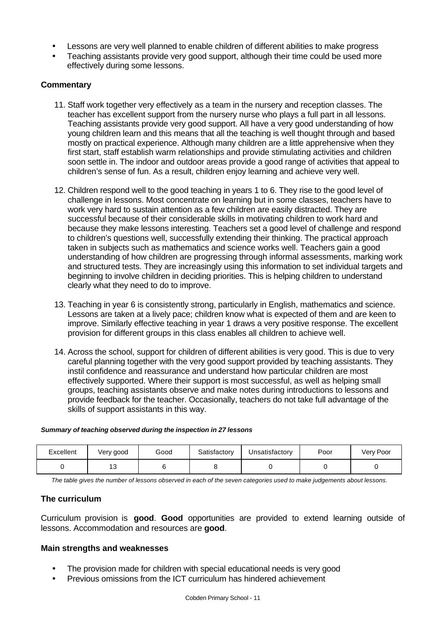- Lessons are very well planned to enable children of different abilities to make progress
- Teaching assistants provide very good support, although their time could be used more effectively during some lessons.

## **Commentary**

- 11. Staff work together very effectively as a team in the nursery and reception classes. The teacher has excellent support from the nursery nurse who plays a full part in all lessons. Teaching assistants provide very good support. All have a very good understanding of how young children learn and this means that all the teaching is well thought through and based mostly on practical experience. Although many children are a little apprehensive when they first start, staff establish warm relationships and provide stimulating activities and children soon settle in. The indoor and outdoor areas provide a good range of activities that appeal to children's sense of fun. As a result, children enjoy learning and achieve very well.
- 12. Children respond well to the good teaching in years 1 to 6. They rise to the good level of challenge in lessons. Most concentrate on learning but in some classes, teachers have to work very hard to sustain attention as a few children are easily distracted. They are successful because of their considerable skills in motivating children to work hard and because they make lessons interesting. Teachers set a good level of challenge and respond to children's questions well, successfully extending their thinking. The practical approach taken in subjects such as mathematics and science works well. Teachers gain a good understanding of how children are progressing through informal assessments, marking work and structured tests. They are increasingly using this information to set individual targets and beginning to involve children in deciding priorities. This is helping children to understand clearly what they need to do to improve.
- 13. Teaching in year 6 is consistently strong, particularly in English, mathematics and science. Lessons are taken at a lively pace; children know what is expected of them and are keen to improve. Similarly effective teaching in year 1 draws a very positive response. The excellent provision for different groups in this class enables all children to achieve well.
- 14. Across the school, support for children of different abilities is very good. This is due to very careful planning together with the very good support provided by teaching assistants. They instil confidence and reassurance and understand how particular children are most effectively supported. Where their support is most successful, as well as helping small groups, teaching assistants observe and make notes during introductions to lessons and provide feedback for the teacher. Occasionally, teachers do not take full advantage of the skills of support assistants in this way.

## *Summary of teaching observed during the inspection in 27 lessons*

| Excellent | Very good | Good | Satisfactory | Unsatisfactory | Poor | Very Poor |
|-----------|-----------|------|--------------|----------------|------|-----------|
|           | . .       |      |              |                |      |           |

*The table gives the number of lessons observed in each of the seven categories used to make judgements about lessons.*

## **The curriculum**

Curriculum provision is **good**. **Good** opportunities are provided to extend learning outside of lessons. Accommodation and resources are **good**.

- The provision made for children with special educational needs is very good
- Previous omissions from the ICT curriculum has hindered achievement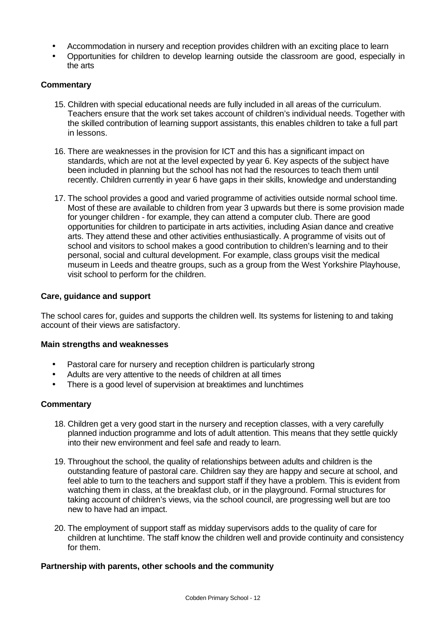- Accommodation in nursery and reception provides children with an exciting place to learn
- Opportunities for children to develop learning outside the classroom are good, especially in the arts

### **Commentary**

- 15. Children with special educational needs are fully included in all areas of the curriculum. Teachers ensure that the work set takes account of children's individual needs. Together with the skilled contribution of learning support assistants, this enables children to take a full part in lessons.
- 16. There are weaknesses in the provision for ICT and this has a significant impact on standards, which are not at the level expected by year 6. Key aspects of the subject have been included in planning but the school has not had the resources to teach them until recently. Children currently in year 6 have gaps in their skills, knowledge and understanding
- 17. The school provides a good and varied programme of activities outside normal school time. Most of these are available to children from year 3 upwards but there is some provision made for younger children - for example, they can attend a computer club. There are good opportunities for children to participate in arts activities, including Asian dance and creative arts. They attend these and other activities enthusiastically. A programme of visits out of school and visitors to school makes a good contribution to children's learning and to their personal, social and cultural development. For example, class groups visit the medical museum in Leeds and theatre groups, such as a group from the West Yorkshire Playhouse, visit school to perform for the children.

#### **Care, guidance and support**

The school cares for, guides and supports the children well. Its systems for listening to and taking account of their views are satisfactory.

#### **Main strengths and weaknesses**

- Pastoral care for nursery and reception children is particularly strong
- Adults are very attentive to the needs of children at all times
- There is a good level of supervision at breaktimes and lunchtimes

## **Commentary**

- 18. Children get a very good start in the nursery and reception classes, with a very carefully planned induction programme and lots of adult attention. This means that they settle quickly into their new environment and feel safe and ready to learn.
- 19. Throughout the school, the quality of relationships between adults and children is the outstanding feature of pastoral care. Children say they are happy and secure at school, and feel able to turn to the teachers and support staff if they have a problem. This is evident from watching them in class, at the breakfast club, or in the playground. Formal structures for taking account of children's views, via the school council, are progressing well but are too new to have had an impact.
- 20. The employment of support staff as midday supervisors adds to the quality of care for children at lunchtime. The staff know the children well and provide continuity and consistency for them.

#### **Partnership with parents, other schools and the community**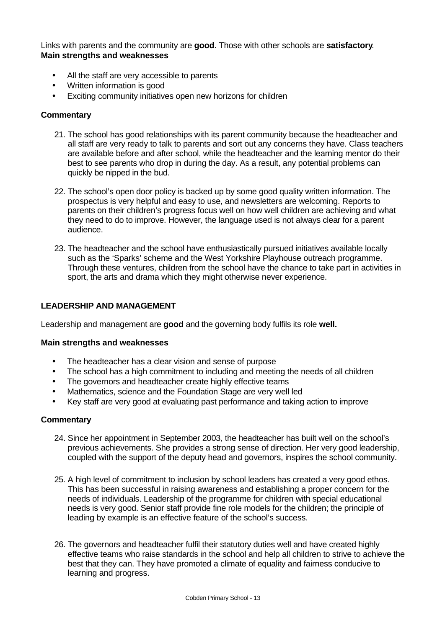Links with parents and the community are **good**. Those with other schools are **satisfactory**. **Main strengths and weaknesses**

- All the staff are very accessible to parents
- Written information is good
- Exciting community initiatives open new horizons for children

#### **Commentary**

- 21. The school has good relationships with its parent community because the headteacher and all staff are very ready to talk to parents and sort out any concerns they have. Class teachers are available before and after school, while the headteacher and the learning mentor do their best to see parents who drop in during the day. As a result, any potential problems can quickly be nipped in the bud.
- 22. The school's open door policy is backed up by some good quality written information. The prospectus is very helpful and easy to use, and newsletters are welcoming. Reports to parents on their children's progress focus well on how well children are achieving and what they need to do to improve. However, the language used is not always clear for a parent audience.
- 23. The headteacher and the school have enthusiastically pursued initiatives available locally such as the 'Sparks' scheme and the West Yorkshire Playhouse outreach programme. Through these ventures, children from the school have the chance to take part in activities in sport, the arts and drama which they might otherwise never experience.

#### **LEADERSHIP AND MANAGEMENT**

Leadership and management are **good** and the governing body fulfils its role **well.**

#### **Main strengths and weaknesses**

- The headteacher has a clear vision and sense of purpose
- The school has a high commitment to including and meeting the needs of all children
- The governors and headteacher create highly effective teams
- Mathematics, science and the Foundation Stage are very well led
- Key staff are very good at evaluating past performance and taking action to improve

#### **Commentary**

- 24. Since her appointment in September 2003, the headteacher has built well on the school's previous achievements. She provides a strong sense of direction. Her very good leadership, coupled with the support of the deputy head and governors, inspires the school community.
- 25. A high level of commitment to inclusion by school leaders has created a very good ethos. This has been successful in raising awareness and establishing a proper concern for the needs of individuals. Leadership of the programme for children with special educational needs is very good. Senior staff provide fine role models for the children; the principle of leading by example is an effective feature of the school's success.
- 26. The governors and headteacher fulfil their statutory duties well and have created highly effective teams who raise standards in the school and help all children to strive to achieve the best that they can. They have promoted a climate of equality and fairness conducive to learning and progress.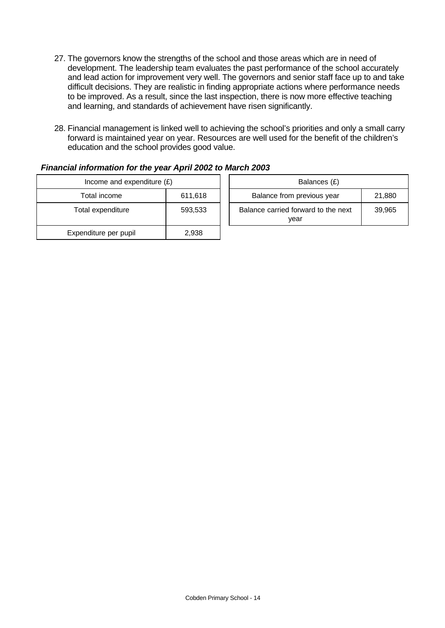- 27. The governors know the strengths of the school and those areas which are in need of development. The leadership team evaluates the past performance of the school accurately and lead action for improvement very well. The governors and senior staff face up to and take difficult decisions. They are realistic in finding appropriate actions where performance needs to be improved. As a result, since the last inspection, there is now more effective teaching and learning, and standards of achievement have risen significantly.
- 28. Financial management is linked well to achieving the school's priorities and only a small carry forward is maintained year on year. Resources are well used for the benefit of the children's education and the school provides good value.

| Income and expenditure $(E)$ |         | Balances (£)                                |        |
|------------------------------|---------|---------------------------------------------|--------|
| Total income                 | 611,618 | Balance from previous year                  | 21,880 |
| Total expenditure            | 593,533 | Balance carried forward to the next<br>vear | 39,965 |
| Expenditure per pupil        | 2,938   |                                             |        |

## *Financial information for the year April 2002 to March 2003*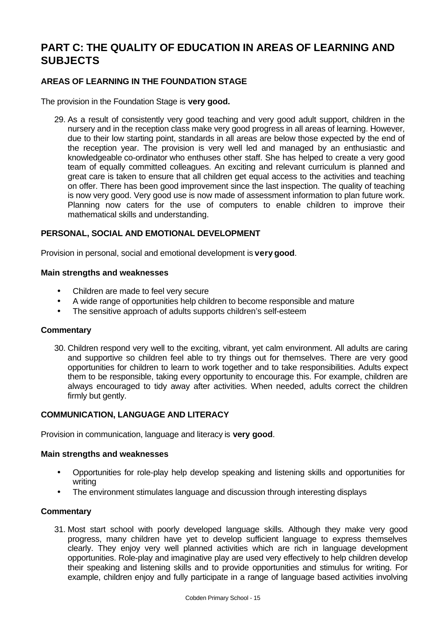# **PART C: THE QUALITY OF EDUCATION IN AREAS OF LEARNING AND SUBJECTS**

## **AREAS OF LEARNING IN THE FOUNDATION STAGE**

The provision in the Foundation Stage is **very good.**

29. As a result of consistently very good teaching and very good adult support, children in the nursery and in the reception class make very good progress in all areas of learning. However, due to their low starting point, standards in all areas are below those expected by the end of the reception year. The provision is very well led and managed by an enthusiastic and knowledgeable co-ordinator who enthuses other staff. She has helped to create a very good team of equally committed colleagues. An exciting and relevant curriculum is planned and great care is taken to ensure that all children get equal access to the activities and teaching on offer. There has been good improvement since the last inspection. The quality of teaching is now very good. Very good use is now made of assessment information to plan future work. Planning now caters for the use of computers to enable children to improve their mathematical skills and understanding.

## **PERSONAL, SOCIAL AND EMOTIONAL DEVELOPMENT**

Provision in personal, social and emotional development is **very good**.

#### **Main strengths and weaknesses**

- Children are made to feel very secure
- A wide range of opportunities help children to become responsible and mature
- The sensitive approach of adults supports children's self-esteem

#### **Commentary**

30. Children respond very well to the exciting, vibrant, yet calm environment. All adults are caring and supportive so children feel able to try things out for themselves. There are very good opportunities for children to learn to work together and to take responsibilities. Adults expect them to be responsible, taking every opportunity to encourage this. For example, children are always encouraged to tidy away after activities. When needed, adults correct the children firmly but gently.

## **COMMUNICATION, LANGUAGE AND LITERACY**

Provision in communication, language and literacy is **very good**.

#### **Main strengths and weaknesses**

- Opportunities for role-play help develop speaking and listening skills and opportunities for writing
- The environment stimulates language and discussion through interesting displays

#### **Commentary**

31. Most start school with poorly developed language skills. Although they make very good progress, many children have yet to develop sufficient language to express themselves clearly. They enjoy very well planned activities which are rich in language development opportunities. Role-play and imaginative play are used very effectively to help children develop their speaking and listening skills and to provide opportunities and stimulus for writing. For example, children enjoy and fully participate in a range of language based activities involving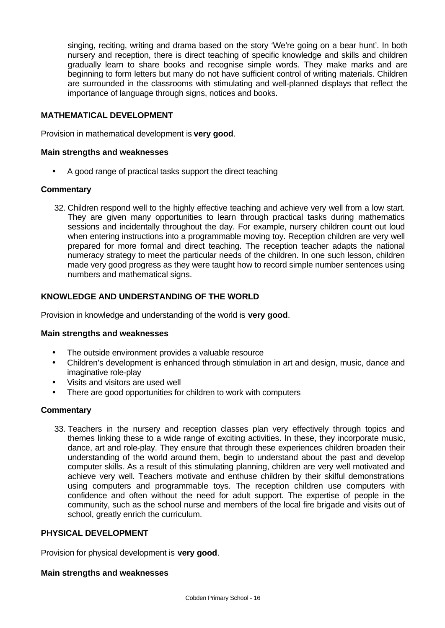singing, reciting, writing and drama based on the story 'We're going on a bear hunt'. In both nursery and reception, there is direct teaching of specific knowledge and skills and children gradually learn to share books and recognise simple words. They make marks and are beginning to form letters but many do not have sufficient control of writing materials. Children are surrounded in the classrooms with stimulating and well-planned displays that reflect the importance of language through signs, notices and books.

## **MATHEMATICAL DEVELOPMENT**

Provision in mathematical development is **very good**.

#### **Main strengths and weaknesses**

• A good range of practical tasks support the direct teaching

#### **Commentary**

32. Children respond well to the highly effective teaching and achieve very well from a low start. They are given many opportunities to learn through practical tasks during mathematics sessions and incidentally throughout the day. For example, nursery children count out loud when entering instructions into a programmable moving toy. Reception children are very well prepared for more formal and direct teaching. The reception teacher adapts the national numeracy strategy to meet the particular needs of the children. In one such lesson, children made very good progress as they were taught how to record simple number sentences using numbers and mathematical signs.

## **KNOWLEDGE AND UNDERSTANDING OF THE WORLD**

Provision in knowledge and understanding of the world is **very good**.

#### **Main strengths and weaknesses**

- The outside environment provides a valuable resource
- Children's development is enhanced through stimulation in art and design, music, dance and imaginative role-play
- Visits and visitors are used well
- There are good opportunities for children to work with computers

## **Commentary**

33. Teachers in the nursery and reception classes plan very effectively through topics and themes linking these to a wide range of exciting activities. In these, they incorporate music, dance, art and role-play. They ensure that through these experiences children broaden their understanding of the world around them, begin to understand about the past and develop computer skills. As a result of this stimulating planning, children are very well motivated and achieve very well. Teachers motivate and enthuse children by their skilful demonstrations using computers and programmable toys. The reception children use computers with confidence and often without the need for adult support. The expertise of people in the community, such as the school nurse and members of the local fire brigade and visits out of school, greatly enrich the curriculum.

## **PHYSICAL DEVELOPMENT**

Provision for physical development is **very good**.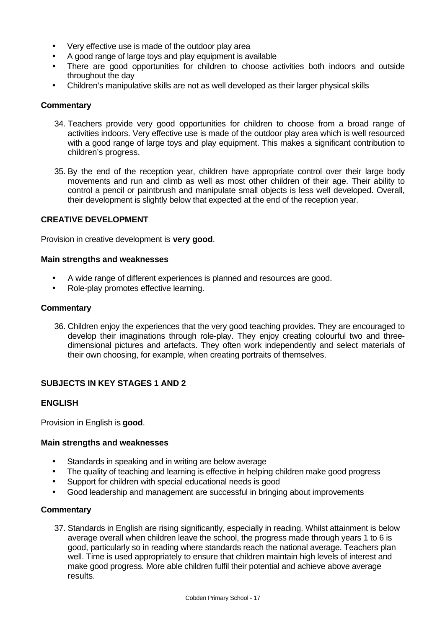- Very effective use is made of the outdoor play area
- A good range of large toys and play equipment is available
- There are good opportunities for children to choose activities both indoors and outside throughout the day
- Children's manipulative skills are not as well developed as their larger physical skills

### **Commentary**

- 34. Teachers provide very good opportunities for children to choose from a broad range of activities indoors. Very effective use is made of the outdoor play area which is well resourced with a good range of large toys and play equipment. This makes a significant contribution to children's progress.
- 35. By the end of the reception year, children have appropriate control over their large body movements and run and climb as well as most other children of their age. Their ability to control a pencil or paintbrush and manipulate small objects is less well developed. Overall, their development is slightly below that expected at the end of the reception year.

## **CREATIVE DEVELOPMENT**

Provision in creative development is **very good**.

#### **Main strengths and weaknesses**

- A wide range of different experiences is planned and resources are good.
- Role-play promotes effective learning.

#### **Commentary**

36. Children enjoy the experiences that the very good teaching provides. They are encouraged to develop their imaginations through role-play. They enjoy creating colourful two and threedimensional pictures and artefacts. They often work independently and select materials of their own choosing, for example, when creating portraits of themselves.

## **SUBJECTS IN KEY STAGES 1 AND 2**

## **ENGLISH**

Provision in English is **good**.

#### **Main strengths and weaknesses**

- Standards in speaking and in writing are below average
- The quality of teaching and learning is effective in helping children make good progress
- Support for children with special educational needs is good
- Good leadership and management are successful in bringing about improvements

#### **Commentary**

37. Standards in English are rising significantly, especially in reading. Whilst attainment is below average overall when children leave the school, the progress made through years 1 to 6 is good, particularly so in reading where standards reach the national average. Teachers plan well. Time is used appropriately to ensure that children maintain high levels of interest and make good progress. More able children fulfil their potential and achieve above average results.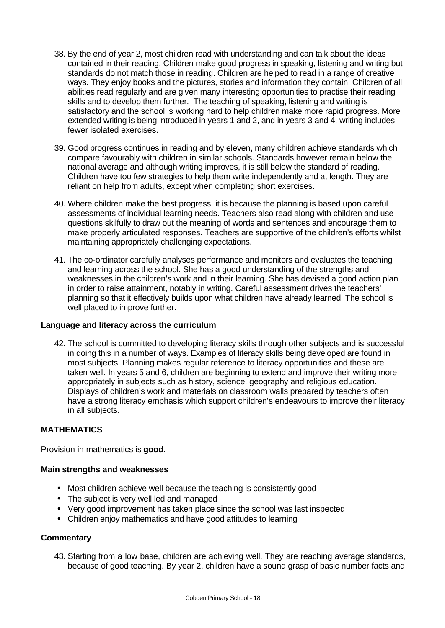- 38. By the end of year 2, most children read with understanding and can talk about the ideas contained in their reading. Children make good progress in speaking, listening and writing but standards do not match those in reading. Children are helped to read in a range of creative ways. They enjoy books and the pictures, stories and information they contain. Children of all abilities read regularly and are given many interesting opportunities to practise their reading skills and to develop them further. The teaching of speaking, listening and writing is satisfactory and the school is working hard to help children make more rapid progress. More extended writing is being introduced in years 1 and 2, and in years 3 and 4, writing includes fewer isolated exercises.
- 39. Good progress continues in reading and by eleven, many children achieve standards which compare favourably with children in similar schools. Standards however remain below the national average and although writing improves, it is still below the standard of reading. Children have too few strategies to help them write independently and at length. They are reliant on help from adults, except when completing short exercises.
- 40. Where children make the best progress, it is because the planning is based upon careful assessments of individual learning needs. Teachers also read along with children and use questions skilfully to draw out the meaning of words and sentences and encourage them to make properly articulated responses. Teachers are supportive of the children's efforts whilst maintaining appropriately challenging expectations.
- 41. The co-ordinator carefully analyses performance and monitors and evaluates the teaching and learning across the school. She has a good understanding of the strengths and weaknesses in the children's work and in their learning. She has devised a good action plan in order to raise attainment, notably in writing. Careful assessment drives the teachers' planning so that it effectively builds upon what children have already learned. The school is well placed to improve further.

## **Language and literacy across the curriculum**

42. The school is committed to developing literacy skills through other subjects and is successful in doing this in a number of ways. Examples of literacy skills being developed are found in most subjects. Planning makes regular reference to literacy opportunities and these are taken well. In years 5 and 6, children are beginning to extend and improve their writing more appropriately in subjects such as history, science, geography and religious education. Displays of children's work and materials on classroom walls prepared by teachers often have a strong literacy emphasis which support children's endeavours to improve their literacy in all subjects.

## **MATHEMATICS**

Provision in mathematics is **good**.

## **Main strengths and weaknesses**

- Most children achieve well because the teaching is consistently good
- The subject is very well led and managed
- Very good improvement has taken place since the school was last inspected
- Children enjoy mathematics and have good attitudes to learning

#### **Commentary**

43. Starting from a low base, children are achieving well. They are reaching average standards, because of good teaching. By year 2, children have a sound grasp of basic number facts and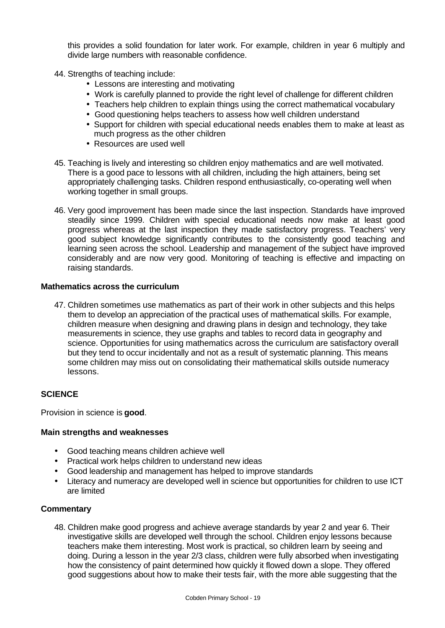this provides a solid foundation for later work. For example, children in year 6 multiply and divide large numbers with reasonable confidence.

- 44. Strengths of teaching include:
	- Lessons are interesting and motivating
	- Work is carefully planned to provide the right level of challenge for different children
	- Teachers help children to explain things using the correct mathematical vocabulary
	- Good questioning helps teachers to assess how well children understand
	- Support for children with special educational needs enables them to make at least as much progress as the other children
	- Resources are used well
- 45. Teaching is lively and interesting so children enjoy mathematics and are well motivated. There is a good pace to lessons with all children, including the high attainers, being set appropriately challenging tasks. Children respond enthusiastically, co-operating well when working together in small groups.
- 46. Very good improvement has been made since the last inspection. Standards have improved steadily since 1999. Children with special educational needs now make at least good progress whereas at the last inspection they made satisfactory progress. Teachers' very good subject knowledge significantly contributes to the consistently good teaching and learning seen across the school. Leadership and management of the subject have improved considerably and are now very good. Monitoring of teaching is effective and impacting on raising standards.

#### **Mathematics across the curriculum**

47. Children sometimes use mathematics as part of their work in other subjects and this helps them to develop an appreciation of the practical uses of mathematical skills. For example, children measure when designing and drawing plans in design and technology, they take measurements in science, they use graphs and tables to record data in geography and science. Opportunities for using mathematics across the curriculum are satisfactory overall but they tend to occur incidentally and not as a result of systematic planning. This means some children may miss out on consolidating their mathematical skills outside numeracy lessons.

## **SCIENCE**

Provision in science is **good**.

#### **Main strengths and weaknesses**

- Good teaching means children achieve well
- Practical work helps children to understand new ideas
- Good leadership and management has helped to improve standards
- Literacy and numeracy are developed well in science but opportunities for children to use ICT are limited

## **Commentary**

48. Children make good progress and achieve average standards by year 2 and year 6. Their investigative skills are developed well through the school. Children enjoy lessons because teachers make them interesting. Most work is practical, so children learn by seeing and doing. During a lesson in the year 2/3 class, children were fully absorbed when investigating how the consistency of paint determined how quickly it flowed down a slope. They offered good suggestions about how to make their tests fair, with the more able suggesting that the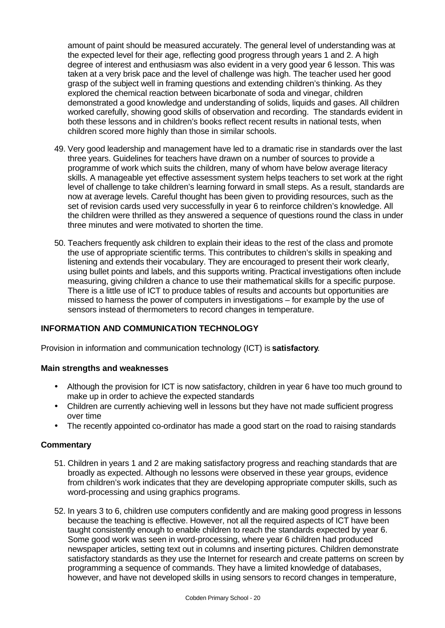amount of paint should be measured accurately. The general level of understanding was at the expected level for their age, reflecting good progress through years 1 and 2. A high degree of interest and enthusiasm was also evident in a very good year 6 lesson. This was taken at a very brisk pace and the level of challenge was high. The teacher used her good grasp of the subject well in framing questions and extending children's thinking. As they explored the chemical reaction between bicarbonate of soda and vinegar, children demonstrated a good knowledge and understanding of solids, liquids and gases. All children worked carefully, showing good skills of observation and recording. The standards evident in both these lessons and in children's books reflect recent results in national tests, when children scored more highly than those in similar schools.

- 49. Very good leadership and management have led to a dramatic rise in standards over the last three years. Guidelines for teachers have drawn on a number of sources to provide a programme of work which suits the children, many of whom have below average literacy skills. A manageable yet effective assessment system helps teachers to set work at the right level of challenge to take children's learning forward in small steps. As a result, standards are now at average levels. Careful thought has been given to providing resources, such as the set of revision cards used very successfully in year 6 to reinforce children's knowledge. All the children were thrilled as they answered a sequence of questions round the class in under three minutes and were motivated to shorten the time.
- 50. Teachers frequently ask children to explain their ideas to the rest of the class and promote the use of appropriate scientific terms. This contributes to children's skills in speaking and listening and extends their vocabulary. They are encouraged to present their work clearly, using bullet points and labels, and this supports writing. Practical investigations often include measuring, giving children a chance to use their mathematical skills for a specific purpose. There is a little use of ICT to produce tables of results and accounts but opportunities are missed to harness the power of computers in investigations – for example by the use of sensors instead of thermometers to record changes in temperature.

## **INFORMATION AND COMMUNICATION TECHNOLOGY**

Provision in information and communication technology (ICT) is **satisfactory**.

#### **Main strengths and weaknesses**

- Although the provision for ICT is now satisfactory, children in year 6 have too much ground to make up in order to achieve the expected standards
- Children are currently achieving well in lessons but they have not made sufficient progress over time
- The recently appointed co-ordinator has made a good start on the road to raising standards

#### **Commentary**

- 51. Children in years 1 and 2 are making satisfactory progress and reaching standards that are broadly as expected. Although no lessons were observed in these year groups, evidence from children's work indicates that they are developing appropriate computer skills, such as word-processing and using graphics programs.
- 52. In years 3 to 6, children use computers confidently and are making good progress in lessons because the teaching is effective. However, not all the required aspects of ICT have been taught consistently enough to enable children to reach the standards expected by year 6. Some good work was seen in word-processing, where year 6 children had produced newspaper articles, setting text out in columns and inserting pictures. Children demonstrate satisfactory standards as they use the Internet for research and create patterns on screen by programming a sequence of commands. They have a limited knowledge of databases, however, and have not developed skills in using sensors to record changes in temperature,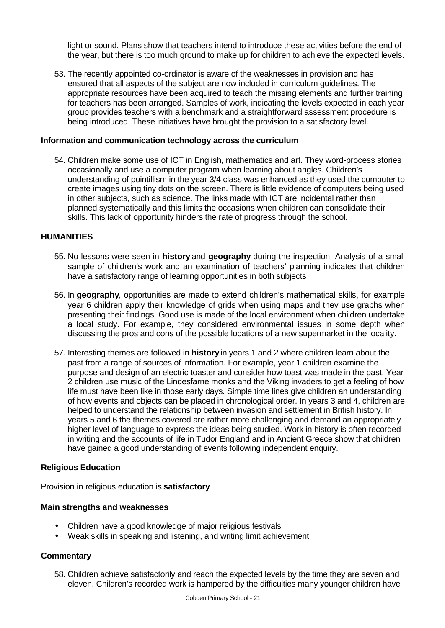light or sound. Plans show that teachers intend to introduce these activities before the end of the year, but there is too much ground to make up for children to achieve the expected levels.

53. The recently appointed co-ordinator is aware of the weaknesses in provision and has ensured that all aspects of the subject are now included in curriculum guidelines. The appropriate resources have been acquired to teach the missing elements and further training for teachers has been arranged. Samples of work, indicating the levels expected in each year group provides teachers with a benchmark and a straightforward assessment procedure is being introduced. These initiatives have brought the provision to a satisfactory level.

### **Information and communication technology across the curriculum**

54. Children make some use of ICT in English, mathematics and art. They word-process stories occasionally and use a computer program when learning about angles. Children's understanding of pointillism in the year 3/4 class was enhanced as they used the computer to create images using tiny dots on the screen. There is little evidence of computers being used in other subjects, such as science. The links made with ICT are incidental rather than planned systematically and this limits the occasions when children can consolidate their skills. This lack of opportunity hinders the rate of progress through the school.

#### **HUMANITIES**

- 55. No lessons were seen in **history** and **geography** during the inspection. Analysis of a small sample of children's work and an examination of teachers' planning indicates that children have a satisfactory range of learning opportunities in both subjects
- 56. In **geography**, opportunities are made to extend children's mathematical skills, for example year 6 children apply their knowledge of grids when using maps and they use graphs when presenting their findings. Good use is made of the local environment when children undertake a local study. For example, they considered environmental issues in some depth when discussing the pros and cons of the possible locations of a new supermarket in the locality.
- 57. Interesting themes are followed in **history** in years 1 and 2 where children learn about the past from a range of sources of information. For example, year 1 children examine the purpose and design of an electric toaster and consider how toast was made in the past. Year 2 children use music of the Lindesfarne monks and the Viking invaders to get a feeling of how life must have been like in those early days. Simple time lines give children an understanding of how events and objects can be placed in chronological order. In years 3 and 4, children are helped to understand the relationship between invasion and settlement in British history. In years 5 and 6 the themes covered are rather more challenging and demand an appropriately higher level of language to express the ideas being studied. Work in history is often recorded in writing and the accounts of life in Tudor England and in Ancient Greece show that children have gained a good understanding of events following independent enquiry.

#### **Religious Education**

Provision in religious education is **satisfactory**.

## **Main strengths and weaknesses**

- Children have a good knowledge of major religious festivals
- Weak skills in speaking and listening, and writing limit achievement

## **Commentary**

58. Children achieve satisfactorily and reach the expected levels by the time they are seven and eleven. Children's recorded work is hampered by the difficulties many younger children have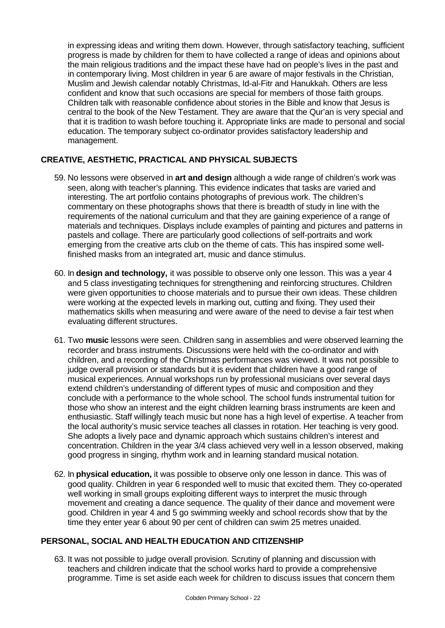in expressing ideas and writing them down. However, through satisfactory teaching, sufficient progress is made by children for them to have collected a range of ideas and opinions about the main religious traditions and the impact these have had on people's lives in the past and in contemporary living. Most children in year 6 are aware of major festivals in the Christian, Muslim and Jewish calendar notably Christmas, Id-al-Fitr and Hanukkah. Others are less confident and know that such occasions are special for members of those faith groups. Children talk with reasonable confidence about stories in the Bible and know that Jesus is central to the book of the New Testament. They are aware that the Qur'an is very special and that it is tradition to wash before touching it. Appropriate links are made to personal and social education. The temporary subject co-ordinator provides satisfactory leadership and management.

## **CREATIVE, AESTHETIC, PRACTICAL AND PHYSICAL SUBJECTS**

- 59. No lessons were observed in **art and design** although a wide range of children's work was seen, along with teacher's planning. This evidence indicates that tasks are varied and interesting. The art portfolio contains photographs of previous work. The children's commentary on these photographs shows that there is breadth of study in line with the requirements of the national curriculum and that they are gaining experience of a range of materials and techniques. Displays include examples of painting and pictures and patterns in pastels and collage. There are particularly good collections of self-portraits and work emerging from the creative arts club on the theme of cats. This has inspired some wellfinished masks from an integrated art, music and dance stimulus.
- 60. In **design and technology,** it was possible to observe only one lesson. This was a year 4 and 5 class investigating techniques for strengthening and reinforcing structures. Children were given opportunities to choose materials and to pursue their own ideas. These children were working at the expected levels in marking out, cutting and fixing. They used their mathematics skills when measuring and were aware of the need to devise a fair test when evaluating different structures.
- 61. Two **music** lessons were seen. Children sang in assemblies and were observed learning the recorder and brass instruments. Discussions were held with the co-ordinator and with children, and a recording of the Christmas performances was viewed. It was not possible to judge overall provision or standards but it is evident that children have a good range of musical experiences. Annual workshops run by professional musicians over several days extend children's understanding of different types of music and composition and they conclude with a performance to the whole school. The school funds instrumental tuition for those who show an interest and the eight children learning brass instruments are keen and enthusiastic. Staff willingly teach music but none has a high level of expertise. A teacher from the local authority's music service teaches all classes in rotation. Her teaching is very good. She adopts a lively pace and dynamic approach which sustains children's interest and concentration. Children in the year 3/4 class achieved very well in a lesson observed, making good progress in singing, rhythm work and in learning standard musical notation.
- 62. In **physical education,** it was possible to observe only one lesson in dance. This was of good quality. Children in year 6 responded well to music that excited them. They co-operated well working in small groups exploiting different ways to interpret the music through movement and creating a dance sequence. The quality of their dance and movement were good. Children in year 4 and 5 go swimming weekly and school records show that by the time they enter year 6 about 90 per cent of children can swim 25 metres unaided.

## **PERSONAL, SOCIAL AND HEALTH EDUCATION AND CITIZENSHIP**

63. It was not possible to judge overall provision. Scrutiny of planning and discussion with teachers and children indicate that the school works hard to provide a comprehensive programme. Time is set aside each week for children to discuss issues that concern them